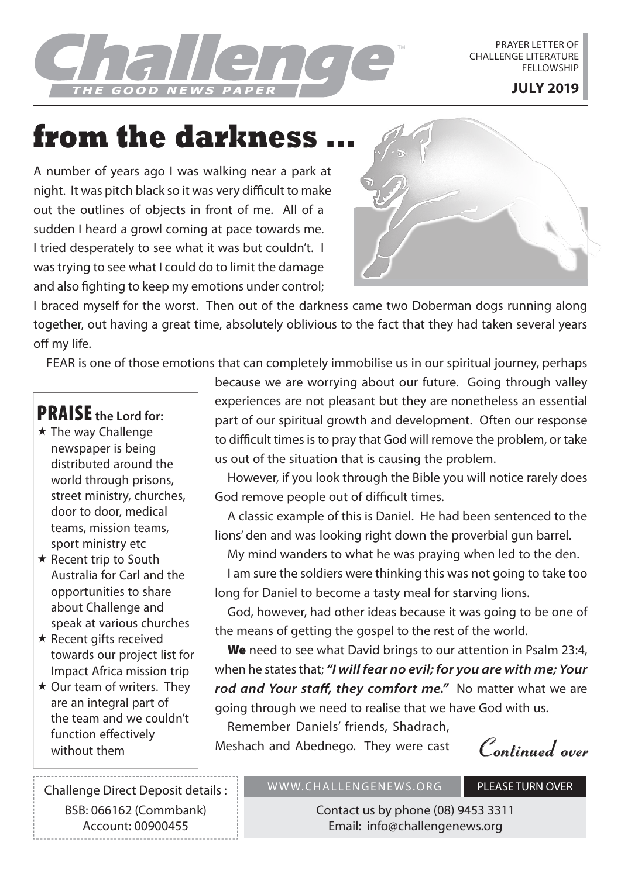E GOOD NEWS PAPER I

PRAYER LETTER OF CHALLENGE LITERATURE **FFLLOWSHIP** 

# **from the darkness ...**

A number of years ago I was walking near a park at night. It was pitch black so it was very difficult to make out the outlines of objects in front of me. All of a sudden I heard a growl coming at pace towards me. I tried desperately to see what it was but couldn't. I was trying to see what I could do to limit the damage and also fighting to keep my emotions under control:



I braced myself for the worst. Then out of the darkness came two Doberman dogs running along together, out having a great time, absolutely oblivious to the fact that they had taken several years off my life.

FEAR is one of those emotions that can completely immobilise us in our spiritual journey, perhaps

# PRAISE **the Lord for:**

- $\star$  The way Challenge newspaper is being distributed around the world through prisons, street ministry, churches, door to door, medical teams, mission teams, sport ministry etc
- $\star$  Recent trip to South Australia for Carl and the opportunities to share about Challenge and speak at various churches
- $\star$  Recent gifts received towards our project list for Impact Africa mission trip
- $\star$  Our team of writers. They are an integral part of the team and we couldn't function effectively

because we are worrying about our future. Going through valley experiences are not pleasant but they are nonetheless an essential part of our spiritual growth and development. Often our response to difficult times is to pray that God will remove the problem, or take us out of the situation that is causing the problem.

However, if you look through the Bible you will notice rarely does God remove people out of difficult times.

A classic example of this is Daniel. He had been sentenced to the lions' den and was looking right down the proverbial gun barrel.

My mind wanders to what he was praying when led to the den.

I am sure the soldiers were thinking this was not going to take too long for Daniel to become a tasty meal for starving lions.

God, however, had other ideas because it was going to be one of the means of getting the gospel to the rest of the world.

We need to see what David brings to our attention in Psalm 23:4, when he states that; *"I will fear no evil; for you are with me; Your*  rod and Your staff, they comfort me." No matter what we are going through we need to realise that we have God with us.

Remember Daniels' friends, Shadrach, without them **Neshach and Abednego.** They were cast **Continued over Continued** *Continued* 

Challenge Direct Deposit details : BSB: 066162 (Commbank) Account: 00900455

### WWW.CHALLENGENEWS.ORG PLEASE TURN OVER

Contact us by phone (08) 9453 3311 Email: info@challengenews.org